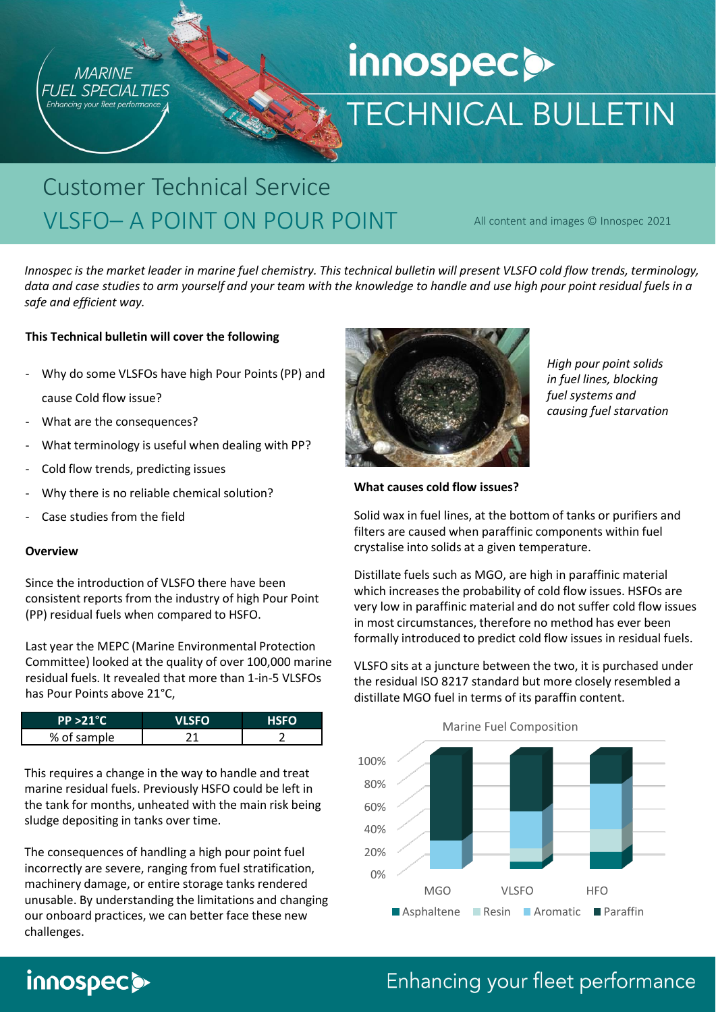

# innospecs **TECHNICAL BULLETIN**

# Customer Technical Service VLSFO– A POINT ON POUR POINT

All content and images © Innospec 2021

*Innospec is the market leader in marine fuel chemistry. This technical bulletin will present VLSFO cold flow trends, terminology, data and case studies to arm yourself and your team with the knowledge to handle and use high pour point residual fuels in a safe and efficient way.*

#### **This Technical bulletin will cover the following**

- Why do some VLSFOs have high Pour Points (PP) and cause Cold flow issue?
- What are the consequences?
- What terminology is useful when dealing with PP?
- Cold flow trends, predicting issues
- Why there is no reliable chemical solution?
- Case studies from the field

#### **Overview**

Since the introduction of VLSFO there have been consistent reports from the industry of high Pour Point (PP) residual fuels when compared to HSFO.

Last year the MEPC (Marine Environmental Protection Committee) looked at the quality of over 100,000 marine residual fuels. It revealed that more than 1-in-5 VLSFOs has Pour Points above 21°C,

| $PP > 21^{\circ}C$ | <b>SEO</b> | <b>HSFO</b> |
|--------------------|------------|-------------|
| % of sample        |            |             |

This requires a change in the way to handle and treat marine residual fuels. Previously HSFO could be left in the tank for months, unheated with the main risk being sludge depositing in tanks over time.

The consequences of handling a high pour point fuel incorrectly are severe, ranging from fuel stratification, machinery damage, or entire storage tanks rendered unusable. By understanding the limitations and changing our onboard practices, we can better face these new challenges.

innospecs



*High pour point solids in fuel lines, blocking fuel systems and causing fuel starvation*

#### **What causes cold flow issues?**

Solid wax in fuel lines, at the bottom of tanks or purifiers and filters are caused when paraffinic components within fuel crystalise into solids at a given temperature.

Distillate fuels such as MGO, are high in paraffinic material which increases the probability of cold flow issues. HSFOs are very low in paraffinic material and do not suffer cold flow issues in most circumstances, therefore no method has ever been formally introduced to predict cold flow issues in residual fuels.

VLSFO sits at a juncture between the two, it is purchased under the residual ISO 8217 standard but more closely resembled a distillate MGO fuel in terms of its paraffin content.

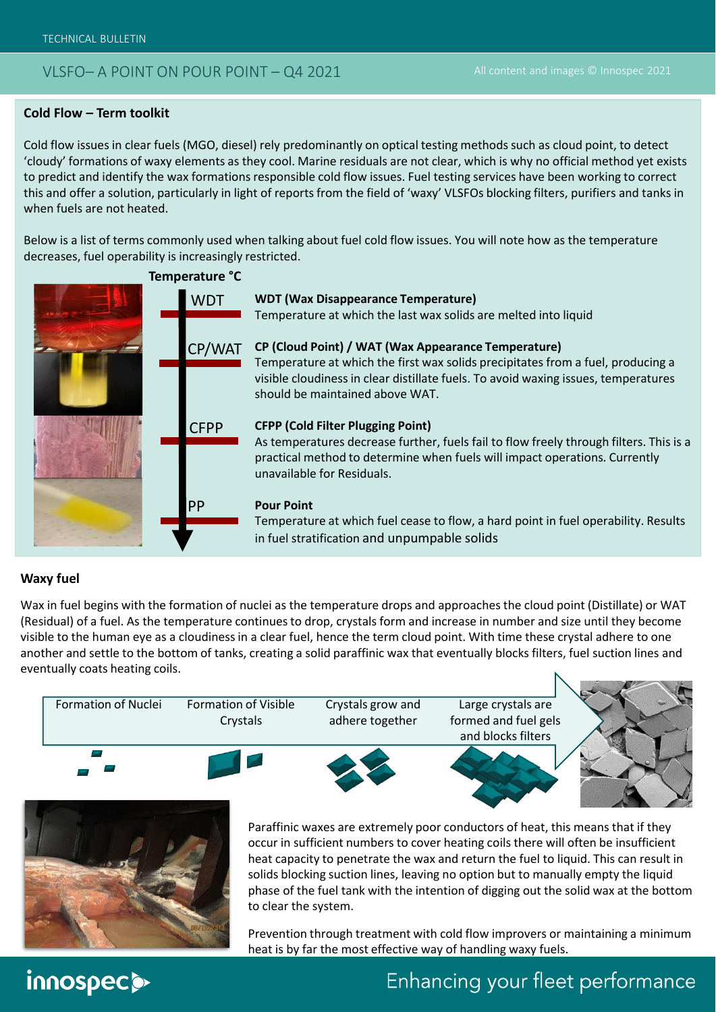#### **Cold Flow – Term toolkit**

Cold flow issues in clear fuels (MGO, diesel) rely predominantly on optical testing methods such as cloud point, to detect 'cloudy' formations of waxy elements as they cool. Marine residuals are not clear, which is why no official method yet exists to predict and identify the wax formations responsible cold flow issues. Fuel testing services have been working to correct this and offer a solution, particularly in light of reports from the field of 'waxy' VLSFOs blocking filters, purifiers and tanks in when fuels are not heated.

Below is a list of terms commonly used when talking about fuel cold flow issues. You will note how as the temperature decreases, fuel operability is increasingly restricted.



#### **Waxy fuel**

Wax in fuel begins with the formation of nuclei as the temperature drops and approaches the cloud point (Distillate) or WAT (Residual) of a fuel. As the temperature continues to drop, crystals form and increase in number and size until they become visible to the human eye as a cloudiness in a clear fuel, hence the term cloud point. With time these crystal adhere to one another and settle to the bottom of tanks, creating a solid paraffinic wax that eventually blocks filters, fuel suction lines and eventually coats heating coils.





Paraffinic waxes are extremely poor conductors of heat, this means that if they occur in sufficient numbers to cover heating coils there will often be insufficient heat capacity to penetrate the wax and return the fuel to liquid. This can result in solids blocking suction lines, leaving no option but to manually empty the liquid phase of the fuel tank with the intention of digging out the solid wax at the bottom to clear the system.

Prevention through treatment with cold flow improvers or maintaining a minimum heat is by far the most effective way of handling waxy fuels.

# innospec@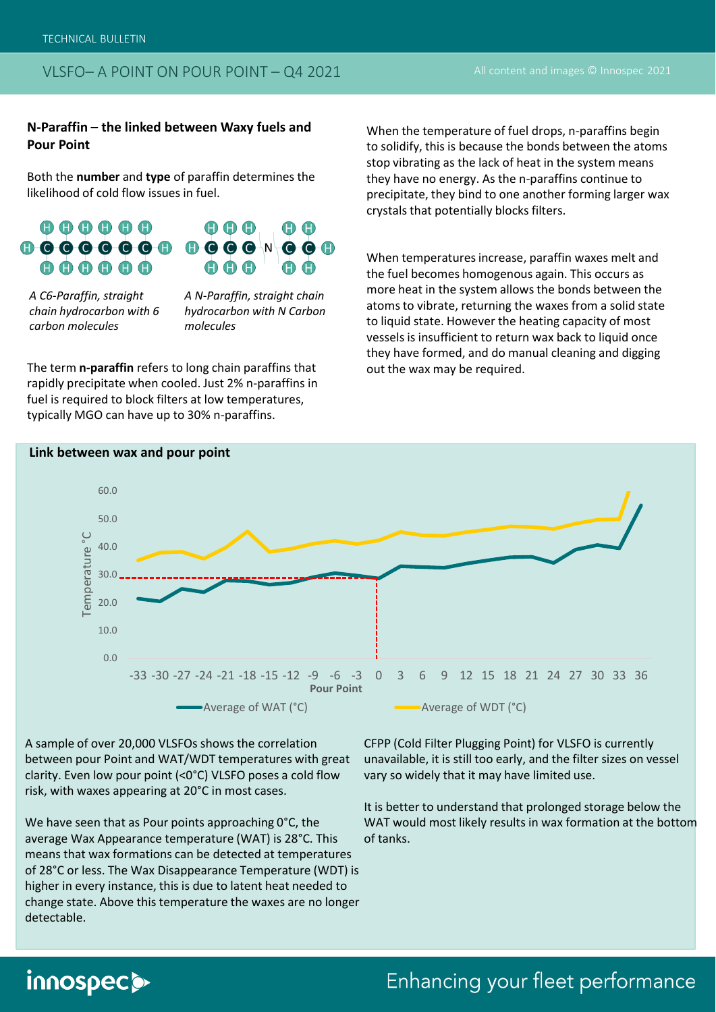#### **N-Paraffin – the linked between Waxy fuels and Pour Point**

Both the **number** and **type** of paraffin determines the likelihood of cold flow issues in fuel.



*A C6-Paraffin, straight chain hydrocarbon with 6 carbon molecules*

*A N-Paraffin, straight chain hydrocarbon with N Carbon molecules*

The term **n-paraffin** refers to long chain paraffins that rapidly precipitate when cooled. Just 2% n-paraffins in fuel is required to block filters at low temperatures, typically MGO can have up to 30% n-paraffins.

When the temperature of fuel drops, n-paraffins begin to solidify, this is because the bonds between the atoms stop vibrating as the lack of heat in the system means they have no energy. As the n-paraffins continue to precipitate, they bind to one another forming larger wax crystals that potentially blocks filters.

When temperatures increase, paraffin waxes melt and the fuel becomes homogenous again. This occurs as more heat in the system allows the bonds between the atoms to vibrate, returning the waxes from a solid state to liquid state. However the heating capacity of most vessels is insufficient to return wax back to liquid once they have formed, and do manual cleaning and digging out the wax may be required.



**Link between wax and pour point**

A sample of over 20,000 VLSFOs shows the correlation between pour Point and WAT/WDT temperatures with great clarity. Even low pour point (<0°C) VLSFO poses a cold flow risk, with waxes appearing at 20°C in most cases.

We have seen that as Pour points approaching 0°C, the average Wax Appearance temperature (WAT) is 28°C. This means that wax formations can be detected at temperatures of 28°C or less. The Wax Disappearance Temperature (WDT) is higher in every instance, this is due to latent heat needed to change state. Above this temperature the waxes are no longer detectable.

CFPP (Cold Filter Plugging Point) for VLSFO is currently unavailable, it is still too early, and the filter sizes on vessel vary so widely that it may have limited use.

It is better to understand that prolonged storage below the WAT would most likely results in wax formation at the bottom of tanks.

# innospec>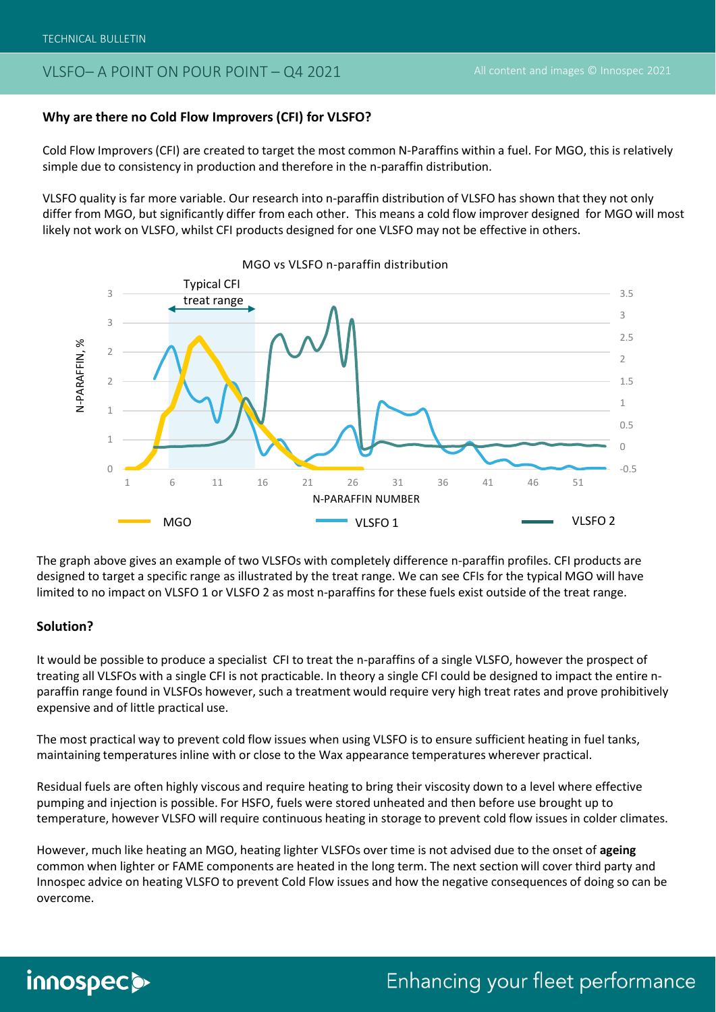#### **Why are there no Cold Flow Improvers (CFI) for VLSFO?**

Cold Flow Improvers (CFI) are created to target the most common N-Paraffins within a fuel. For MGO, this is relatively simple due to consistency in production and therefore in the n-paraffin distribution.

VLSFO quality is far more variable. Our research into n-paraffin distribution of VLSFO has shown that they not only differ from MGO, but significantly differ from each other. This means a cold flow improver designed for MGO will most likely not work on VLSFO, whilst CFI products designed for one VLSFO may not be effective in others.



MGO vs VLSFO n-paraffin distribution

The graph above gives an example of two VLSFOs with completely difference n-paraffin profiles. CFI products are designed to target a specific range as illustrated by the treat range. We can see CFIs for the typical MGO will have limited to no impact on VLSFO 1 or VLSFO 2 as most n-paraffins for these fuels exist outside of the treat range.

#### **Solution?**

It would be possible to produce a specialist CFI to treat the n-paraffins of a single VLSFO, however the prospect of treating all VLSFOs with a single CFI is not practicable. In theory a single CFI could be designed to impact the entire nparaffin range found in VLSFOs however, such a treatment would require very high treat rates and prove prohibitively expensive and of little practical use.

The most practical way to prevent cold flow issues when using VLSFO is to ensure sufficient heating in fuel tanks, maintaining temperatures inline with or close to the Wax appearance temperatures wherever practical.

Residual fuels are often highly viscous and require heating to bring their viscosity down to a level where effective pumping and injection is possible. For HSFO, fuels were stored unheated and then before use brought up to temperature, however VLSFO will require continuous heating in storage to prevent cold flow issues in colder climates.

However, much like heating an MGO, heating lighter VLSFOs over time is not advised due to the onset of **ageing** common when lighter or FAME components are heated in the long term. The next section will cover third party and Innospec advice on heating VLSFO to prevent Cold Flow issues and how the negative consequences of doing so can be overcome.

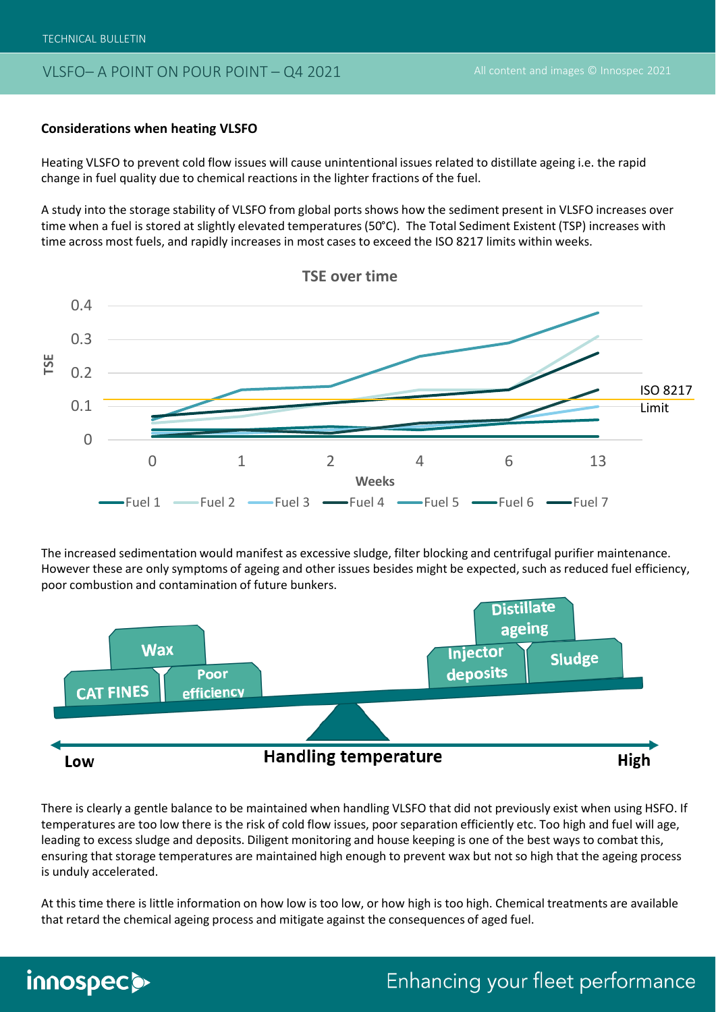TECHNICAL BULLETIN

innospecs

#### VLSFO– A POINT ON POUR POINT – Q4 2021

#### **Considerations when heating VLSFO**

Heating VLSFO to prevent cold flow issues will cause unintentional issues related to distillate ageing i.e. the rapid change in fuel quality due to chemical reactions in the lighter fractions of the fuel.

A study into the storage stability of VLSFO from global ports shows how the sediment present in VLSFO increases over time when a fuel is stored at slightly elevated temperatures (50°C). The Total Sediment Existent (TSP) increases with time across most fuels, and rapidly increases in most cases to exceed the ISO 8217 limits within weeks.



The increased sedimentation would manifest as excessive sludge, filter blocking and centrifugal purifier maintenance. However these are only symptoms of ageing and other issues besides might be expected, such as reduced fuel efficiency, poor combustion and contamination of future bunkers.



There is clearly a gentle balance to be maintained when handling VLSFO that did not previously exist when using HSFO. If temperatures are too low there is the risk of cold flow issues, poor separation efficiently etc. Too high and fuel will age, leading to excess sludge and deposits. Diligent monitoring and house keeping is one of the best ways to combat this, ensuring that storage temperatures are maintained high enough to prevent wax but not so high that the ageing process is unduly accelerated.

At this time there is little information on how low is too low, or how high is too high. Chemical treatments are available that retard the chemical ageing process and mitigate against the consequences of aged fuel.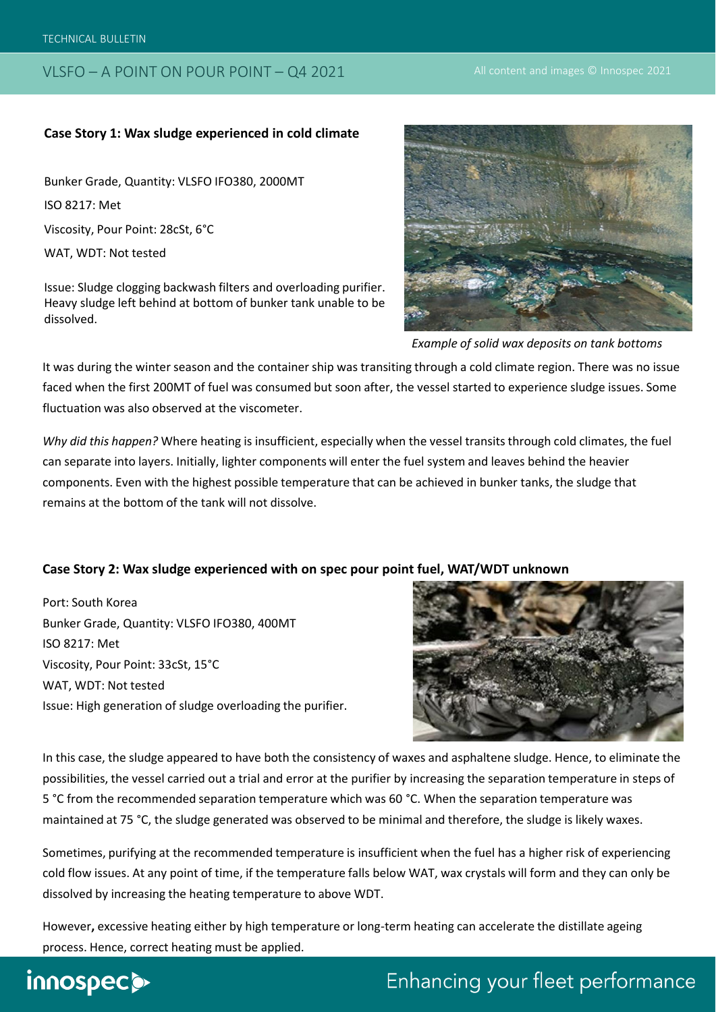#### **Case Story 1: Wax sludge experienced in cold climate**

Bunker Grade, Quantity: VLSFO IFO380, 2000MT ISO 8217: Met Viscosity, Pour Point: 28cSt, 6°C WAT, WDT: Not tested

Issue: Sludge clogging backwash filters and overloading purifier. Heavy sludge left behind at bottom of bunker tank unable to be dissolved.



*Example of solid wax deposits on tank bottoms*

It was during the winter season and the container ship was transiting through a cold climate region. There was no issue faced when the first 200MT of fuel was consumed but soon after, the vessel started to experience sludge issues. Some fluctuation was also observed at the viscometer.

*Why did this happen?* Where heating is insufficient, especially when the vessel transits through cold climates, the fuel can separate into layers. Initially, lighter components will enter the fuel system and leaves behind the heavier components. Even with the highest possible temperature that can be achieved in bunker tanks, the sludge that remains at the bottom of the tank will not dissolve.

#### **Case Story 2: Wax sludge experienced with on spec pour point fuel, WAT/WDT unknown**

Port: South Korea Bunker Grade, Quantity: VLSFO IFO380, 400MT ISO 8217: Met Viscosity, Pour Point: 33cSt, 15°C WAT, WDT: Not tested Issue: High generation of sludge overloading the purifier.



In this case, the sludge appeared to have both the consistency of waxes and asphaltene sludge. Hence, to eliminate the possibilities, the vessel carried out a trial and error at the purifier by increasing the separation temperature in steps of 5 °C from the recommended separation temperature which was 60 °C. When the separation temperature was maintained at 75 °C, the sludge generated was observed to be minimal and therefore, the sludge is likely waxes.

Sometimes, purifying at the recommended temperature is insufficient when the fuel has a higher risk of experiencing cold flow issues. At any point of time, if the temperature falls below WAT, wax crystals will form and they can only be dissolved by increasing the heating temperature to above WDT.

However**,** excessive heating either by high temperature or long-term heating can accelerate the distillate ageing process. Hence, correct heating must be applied.